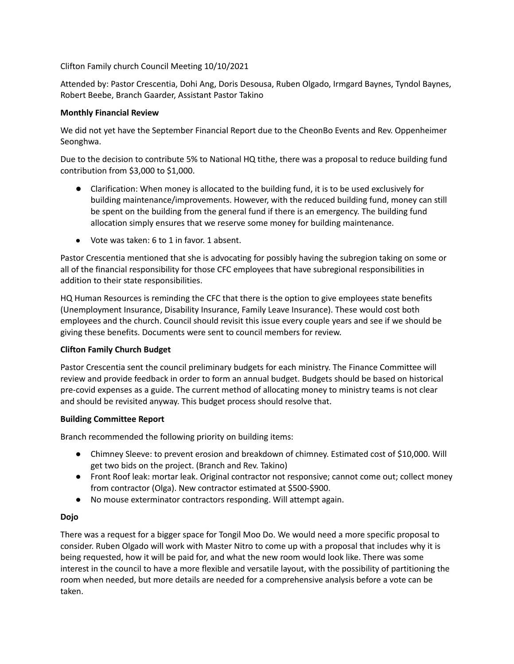Clifton Family church Council Meeting 10/10/2021

Attended by: Pastor Crescentia, Dohi Ang, Doris Desousa, Ruben Olgado, Irmgard Baynes, Tyndol Baynes, Robert Beebe, Branch Gaarder, Assistant Pastor Takino

## **Monthly Financial Review**

We did not yet have the September Financial Report due to the CheonBo Events and Rev. Oppenheimer Seonghwa.

Due to the decision to contribute 5% to National HQ tithe, there was a proposal to reduce building fund contribution from \$3,000 to \$1,000.

- Clarification: When money is allocated to the building fund, it is to be used exclusively for building maintenance/improvements. However, with the reduced building fund, money can still be spent on the building from the general fund if there is an emergency. The building fund allocation simply ensures that we reserve some money for building maintenance.
- Vote was taken: 6 to 1 in favor. 1 absent.

Pastor Crescentia mentioned that she is advocating for possibly having the subregion taking on some or all of the financial responsibility for those CFC employees that have subregional responsibilities in addition to their state responsibilities.

HQ Human Resources is reminding the CFC that there is the option to give employees state benefits (Unemployment Insurance, Disability Insurance, Family Leave Insurance). These would cost both employees and the church. Council should revisit this issue every couple years and see if we should be giving these benefits. Documents were sent to council members for review.

#### **Clifton Family Church Budget**

Pastor Crescentia sent the council preliminary budgets for each ministry. The Finance Committee will review and provide feedback in order to form an annual budget. Budgets should be based on historical pre-covid expenses as a guide. The current method of allocating money to ministry teams is not clear and should be revisited anyway. This budget process should resolve that.

#### **Building Committee Report**

Branch recommended the following priority on building items:

- Chimney Sleeve: to prevent erosion and breakdown of chimney. Estimated cost of \$10,000. Will get two bids on the project. (Branch and Rev. Takino)
- Front Roof leak: mortar leak. Original contractor not responsive; cannot come out; collect money from contractor (Olga). New contractor estimated at \$500-\$900.
- No mouse exterminator contractors responding. Will attempt again.

# **Dojo**

There was a request for a bigger space for Tongil Moo Do. We would need a more specific proposal to consider. Ruben Olgado will work with Master Nitro to come up with a proposal that includes why it is being requested, how it will be paid for, and what the new room would look like. There was some interest in the council to have a more flexible and versatile layout, with the possibility of partitioning the room when needed, but more details are needed for a comprehensive analysis before a vote can be taken.